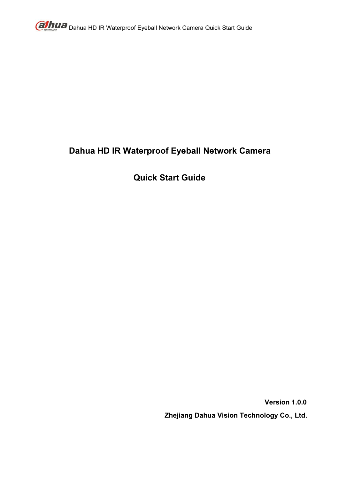

# **Dahua HD IR Waterproof Eyeball Network Camera**

# **Quick Start Guide**

**Version 1.0.0 Zhejiang Dahua Vision Technology Co., Ltd.**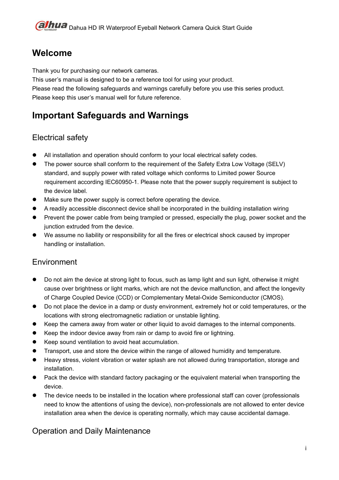# **Welcome**

Thank you for purchasing our network cameras.

This user's manual is designed to be a reference tool for using your product.

Please read the following safeguards and warnings carefully before you use this series product. Please keep this user's manual well for future reference.

# **Important Safeguards and Warnings**

# Electrical safety

- All installation and operation should conform to your local electrical safety codes.
- The power source shall conform to the requirement of the Safety Extra Low Voltage (SELV) standard, and supply power with rated voltage which conforms to Limited power Source requirement according IEC60950-1. Please note that the power supply requirement is subject to the device label.
- $\bullet$  Make sure the power supply is correct before operating the device.
- A readilyaccessible disconnect device shall be incorporated in the building installation wiring
- Prevent the power cable from being trampled or pressed, especially the plug, power socket and the junction extruded from the device.
- We assume no liability or responsibility for all the fires or electrical shock caused by improper handling or installation.

# Environment

- Do not aim the device at strong light to focus, such as lamp light and sun light, otherwise it might cause over brightness or light marks, which are not the device malfunction, and affect the longevity of Charge Coupled Device (CCD) or Complementary Metal-Oxide Semiconductor (CMOS).
- Do not place the device in a damp or dusty environment, extremely hot or cold temperatures, or the locations with strong electromagnetic radiation or unstable lighting.
- Keep the camera away from water or other liquid to avoid damages to the internal components.
- Keep the indoor device away from rain or damp to avoid fire or lightning.
- Keep sound ventilation to avoid heat accumulation.
- Transport, use and store the device within the range of allowed humidity and temperature.
- Heavy stress, violent vibration or water splash are not allowed during transportation, storage and installation.
- Pack the device with standard factory packaging or the equivalent material when transporting the device.
- The device needs to be installed in the location where professional staff can cover (professionals need to know the attentions of using the device), non-professionals are not allowed to enter device installation area when the device is operating normally, which may cause accidental damage.

### Operation and Daily Maintenance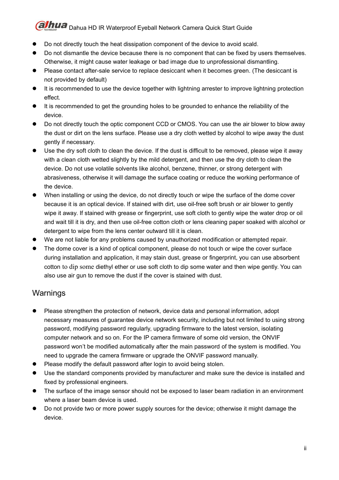- Do not directly touch the heat dissipation component of the device to avoid scald.
- $\bullet$  Do not dismantle the device because there is no component that can be fixed by users themselves. Otherwise, it might cause water leakage or bad image due to unprofessional dismantling.
- Please contact after-sale service to replace desiccant when it becomes green. (The desiccant is not provided by default)
- It is recommended to use the device together with lightning arrester to improve lightning protection effect.
- It is recommended to get the grounding holes to be grounded to enhance the reliability of the device.
- Do not directly touch the optic component CCD or CMOS. You can use the air blower to blow away the dust or dirt on the lens surface. Please use a dry cloth wetted by alcohol to wipe away the dust gently if necessary.
- Use the dry soft cloth to clean the device. If the dust is difficult to be removed, please wipe it away with a clean cloth wetted slightly by the mild detergent, and then use the dry cloth to clean the device. Do not use volatile solvents like alcohol, benzene, thinner, or strong detergent with abrasiveness, otherwise it will damage the surface coating or reduce the working performance of the device.
- When installing or using the device, do not directly touch or wipe the surface of the dome cover because it is an optical device. If stained with dirt, use oil-free soft brush or air blower to gently wipe it away. If stained with grease or fingerprint, use soft cloth to gently wipe the water drop or oil and wait till it is dry, and then use oil-free cotton cloth or lens cleaning paper soaked with alcohol or detergent to wipe from the lens center outward till it is clean.
- We are not liable for any problems caused by unauthorized modification or attempted repair.
- The dome cover is a kind of optical component, please do not touch or wipe the cover surface during installation and application, it may stain dust, grease or fingerprint, you can use absorbent cotton to dip some [diethyl](file:///C:/Users/24766/AppData/Local/youdao/dict/Application/7.2.0.0703/resultui/dict/?keyword=diethyl) [ether](file:///C:/Users/24766/AppData/Local/youdao/dict/Application/7.2.0.0703/resultui/dict/?keyword=ether) or use soft cloth to dip some water and then wipe gently. You can also use air gun to remove the dust if the cover is stained with dust.

### Warnings

- Please strengthen the protection of network, device data and personal information, adopt necessary measures of guarantee device network security, including but not limited to using strong password, modifying password regularly, upgrading firmware to the latest version, isolating computer network and so on. For the IP camera firmware of some old version, the ONVIF password won't be modified automatically after the main password of the system is modified. You need to upgrade the camera firmware or upgrade the ONVIF password manually.
- **•** Please modify the default password after login to avoid being stolen.
- Use the standard components provided by manufacturer and make sure the device is installed and fixed by professional engineers.
- The surface of the image sensor should not be exposed to laser beam radiation in an environment where a laser beam device is used.
- Do not provide two or more power supply sources for the device; otherwise it might damage the device.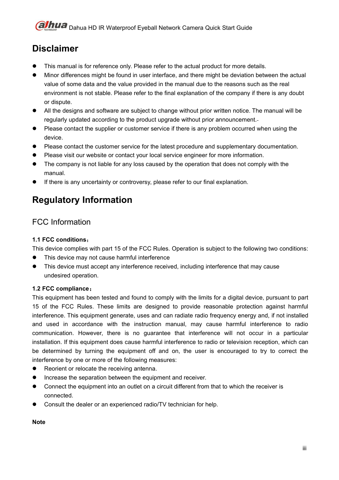# **Disclaimer**

- This manual is for reference only. Please refer to the actual product for more details.
- Minor differences might be found in user interface, and there might be deviation between the actual value of some data and the value provided in the manual due to the reasons such as the real environment is not stable. Please refer to the final explanation of the company if there is any doubt or dispute.
- All the designs and software are subject to change without prior written notice. The manual will be regularly updated according to the product upgrade without prior announcement.
- Please contact the supplier or customer service if there is any problem occurred when using the device.
- Please contact the customer service for the latest procedure and supplementary documentation.
- Please visit our website or contact your local service engineer for more information.
- The company is not liable for any loss caused by the operation that does not comply with the manual.
- If there is any uncertainty or controversy, please refer to our finalexplanation.

# **Regulatory Information**

## FCC Information

#### **1.1 FCC conditions**:

This device complies with part 15 of the FCC Rules. Operation is subject to the following two conditions:

- This device may not cause harmful interference
- This device must accept any interference received, including interference that may cause undesired operation.

#### **1.2 FCC compliance**:

This equipment has been tested and found to comply with the limits for a digital device, pursuant to part 15 of the FCC Rules. These limits are designed to provide reasonable protection against harmful interference. This equipment generate, uses and can radiate radio frequency energy and, if not installed and used in accordance with the instruction manual, may cause harmful interference to radio communication. However, there is no guarantee that interference will not occur in a particular installation. If this equipment does cause harmful interference to radio or television reception, which can be determined by turning the equipment off and on, the user is encouraged to try to correct the interference by one or more of the following measures:

- Reorient or relocate the receiving antenna.
- Increase the separation between the equipment and receiver.
- Connect the equipment into an outlet on a circuit different from that to which the receiver is connected.
- Consult the dealer or an experienced radio/TV technician for help.

### **Note**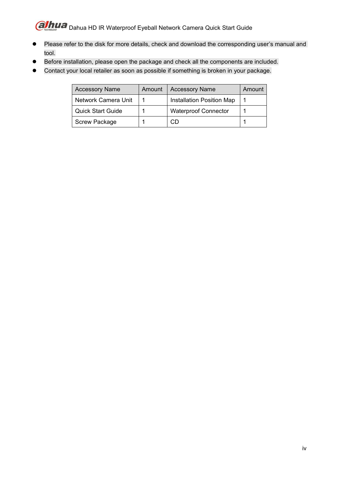- Please refer to the disk for more details, check and download the corresponding user's manual and tool.
- **•** Before installation, please open the package and check all the components are included.
- Contact your local retailer as soon as possible if something is broken in your package.

| <b>Accessory Name</b>    | Amount | <b>Accessory Name</b>       | Amount |
|--------------------------|--------|-----------------------------|--------|
| Network Camera Unit      |        | Installation Position Map   |        |
| <b>Quick Start Guide</b> |        | <b>Waterproof Connector</b> |        |
| <b>Screw Package</b>     |        | CD                          |        |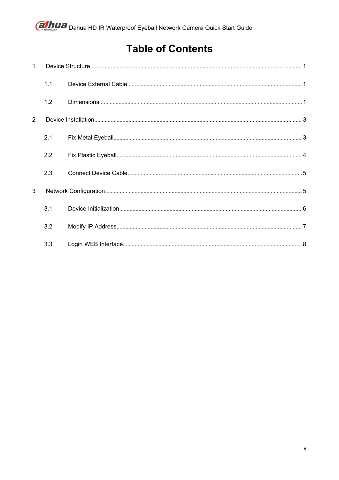# **Table of Contents**

| $\mathbf 1$ |     |  |
|-------------|-----|--|
|             | 1.1 |  |
|             | 1.2 |  |
| 2           |     |  |
|             | 2.1 |  |
|             | 2.2 |  |
|             | 2.3 |  |
| 3           |     |  |
|             | 3.1 |  |
|             | 3.2 |  |
|             | 3.3 |  |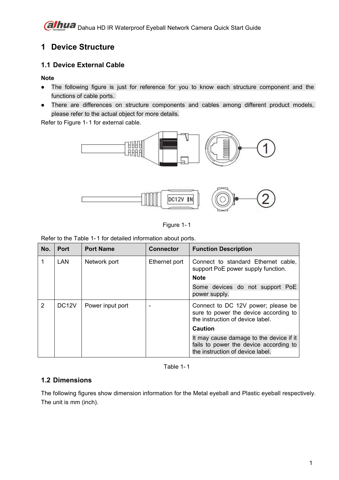# <span id="page-6-1"></span><span id="page-6-0"></span>**1 Device Structure**

### **1.1 Device External Cable**

**Note**

- The following figure is just for reference for you to know each structure component and the functions of cable ports.
- There are differences on structure components and cables among different product models, please refer to the actual object for more details.

Refer to Figure 1-1 for external cable.



Figure 1- 1

Refer to the Table 1- 1 for detailed information about ports.

| No. | <b>Port</b>        | <b>Port Name</b> | <b>Connector</b>                                                                                                | <b>Function Description</b>                                                                                           |
|-----|--------------------|------------------|-----------------------------------------------------------------------------------------------------------------|-----------------------------------------------------------------------------------------------------------------------|
|     | <b>LAN</b>         | Network port     | Ethernet port<br>Connect to standard Ethernet cable,<br>support PoE power supply function.<br><b>Note</b>       |                                                                                                                       |
|     |                    |                  |                                                                                                                 | Some devices do not support PoE<br>power supply.                                                                      |
| 2   | DC <sub>12</sub> V | Power input port | Connect to DC 12V power; please be<br>sure to power the device according to<br>the instruction of device label. |                                                                                                                       |
|     |                    |                  |                                                                                                                 | <b>Caution</b>                                                                                                        |
|     |                    |                  |                                                                                                                 | It may cause damage to the device if it<br>fails to power the device according to<br>the instruction of device label. |

Table 1- 1

### **1.2 Dimensions**

The following figures show dimension information for the Metal eyeball and Plastic eyeball respectively. The unit is mm (inch).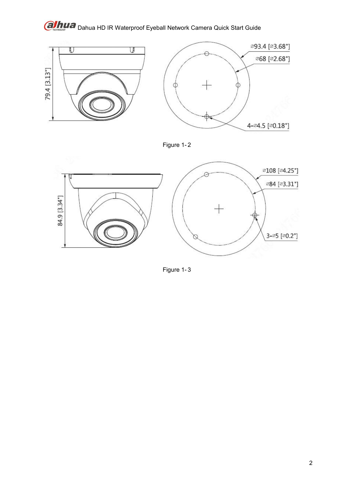

Figure 1- 2



Figure 1- 3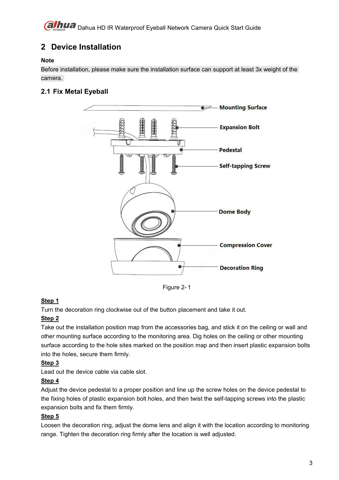# <span id="page-8-1"></span><span id="page-8-0"></span>**2 Device Installation**

#### **Note**

Before installation, please make sure the installation surface can support at least 3x weight of the camera.

### **2.1 Fix Metal Eyeball**



Figure 2- 1

#### **Step 1**

Turn the decoration ring clockwise out of the button placement and take it out.

#### **Step 2**

Take out the installation position map from the accessories bag, and stick it on the ceiling or wall and other mounting surface according to the monitoring area. Dig holes on the ceiling or other mounting surface according to the hole sites marked on the position map and then insert plastic expansion bolts into the holes, secure them firmly.

### **Step 3**

Lead out the device cable via cable slot.

#### **Step 4**

Adjust the device pedestal to a proper position and line up the screw holes on the device pedestal to the fixing holes of plastic expansion bolt holes, and then twist the self-tapping screws into the plastic expansion bolts and fix them firmly.

### **Step 5**

Loosen the decoration ring, adjust the dome lens and align it with the location according to monitoring range. Tighten the decoration ring firmly after the location is well adjusted.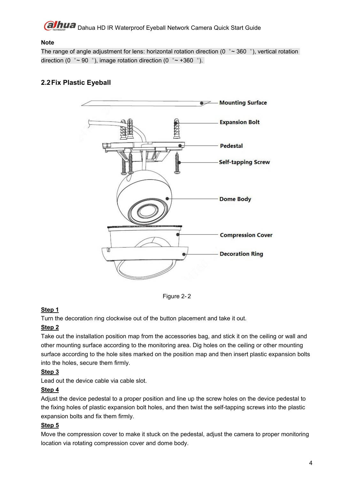#### <span id="page-9-0"></span>**Note**

The range of angle adjustment for lens: horizontal rotation direction (0  $\degree \sim 360\degree$ ), vertical rotation direction (0  $\degree \sim 90\degree$ ), image rotation direction (0  $\degree \sim +360\degree$ ).

### **2.2Fix Plastic Eyeball**



Figure 2- 2

#### **Step 1**

Turn the decoration ring clockwise out of the button placement and take it out.

#### **Step 2**

Take out the installation position map from the accessories bag, and stick it on the ceiling or wall and other mounting surface according to the monitoring area. Dig holes on the ceiling or other mounting surface according to the hole sites marked on the position map and then insert plastic expansion bolts into the holes, secure them firmly.

#### **Step 3**

Lead out the device cable via cable slot.

#### **Step 4**

Adjust the device pedestal to a proper position and line up the screw holes on the device pedestal to the fixing holes of plastic expansion bolt holes, and then twist the self-tapping screws into the plastic expansion bolts and fix them firmly.

#### **Step 5**

Move the compression cover to make it stuck on the pedestal, adjust the camera to proper monitoring location via rotating compression cover and dome body.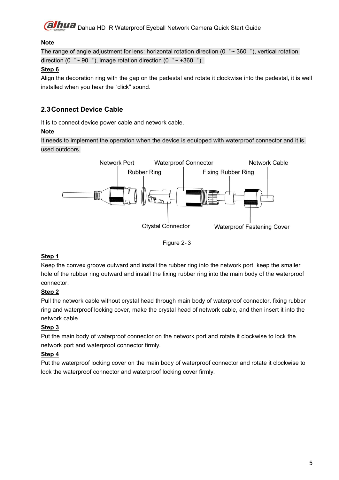

#### <span id="page-10-1"></span><span id="page-10-0"></span>**Note**

The range of angle adjustment for lens: horizontal rotation direction (0  $\degree \sim 360\degree$ ), vertical rotation direction (0  $\degree \sim 90\degree$ ), image rotation direction (0  $\degree \sim +360\degree$ ).

#### **Step 6**

Align the decoration ring with the gap on the pedestal and rotate it clockwise into the pedestal, it is well installed when you hear the "click" sound.

### **2.3Connect Device Cable**

It is to connect device power cable and network cable.

#### **Note**

It needs to implement the operation when the device is equipped with waterproof connector and it is used outdoors.



Figure 2- 3

#### **Step 1**

Keep the convex groove outward and install the rubber ring into the network port, keep the smaller hole of the rubber ring outward and install the fixing rubber ring into the main body of the waterproof connector.

#### **Step 2**

Pull the network cable without crystal head through main body of waterproof connector, fixing rubber ring and waterproof locking cover, make the crystal head of network cable, and then insert it into the network cable.

### **Step 3**

Put the main body of waterproof connector on the network port and rotate it clockwise to lock the network port and waterproof connector firmly.

### **Step 4**

Put the waterproof locking cover on the main body of waterproof connector and rotate it clockwise to lock the waterproof connector and waterproof locking cover firmly.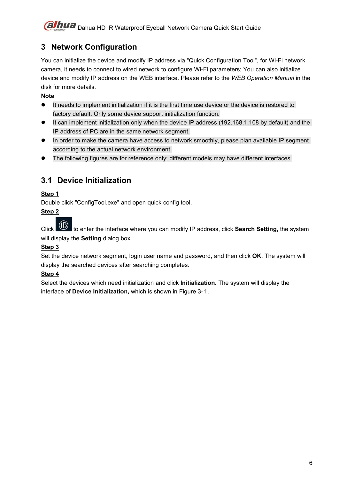# <span id="page-11-0"></span>**3 Network Configuration**

You can initialize the device and modify IP address via "Quick Configuration Tool", for Wi-Fi network camera, it needs to connect to wired network to configure Wi-Fi parameters; You can also initialize device and modify IP address on the WEB interface. Please refer to the *WEB Operation Manual* in the disk for more details.

#### **Note**

- It needs to implement initialization if it is the first time use device or the device is restored to factory default. Only some device support initialization function.
- It can implement initialization only when the device IP address (192.168.1.108 by default) and the IP address of PC are in the same network segment.
- In order to make the camera have access to network smoothly, please plan available IP segment according to the actual network environment.
- The following figures are for reference only; different models may have different interfaces.

## **3.1 Device Initialization**

#### **Step 1**

Double click "ConfigTool.exe" and open quick config tool.

#### **Step 2**

Click to enter the interface where you can modify IP address, click **Search Setting,** the system will display the **Setting** dialog box.

#### **Step 3**

Set the device network segment, login user name and password, and then click **OK**. The system will display the searched devices after searching completes.

#### **Step 4**

Select the devices which need initialization and click **Initialization.** The system will display the interface of **Device Initialization,** which isshown in Figure 3- 1.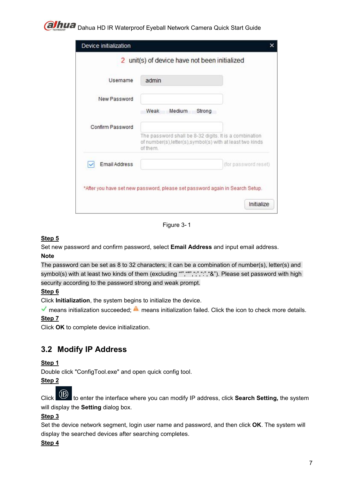<span id="page-12-0"></span>

| Device initialization |                                                                                                                                |                      |
|-----------------------|--------------------------------------------------------------------------------------------------------------------------------|----------------------|
|                       | 2 unit(s) of device have not been initialized                                                                                  |                      |
| Username              | admin                                                                                                                          |                      |
| New Password          |                                                                                                                                |                      |
|                       | Weak<br>Medium<br>Strong                                                                                                       |                      |
| Confirm Password      |                                                                                                                                |                      |
|                       | The password shall be 8-32 digits. It is a combination<br>of number(s),letter(s),symbol(s) with at least two kinds<br>of them. |                      |
| <b>Email Address</b>  |                                                                                                                                | (for password reset) |
|                       | *After you have set new password, please set password again in Search Setup.                                                   |                      |
|                       |                                                                                                                                | Initialize           |

Figure 3- 1

#### **Step 5**

Set new password and confirm password, select **Email Address** and input email address.

#### **Note**

The password can be set as 8 to 32 characters; it can be a combination of number(s), letter(s) and symbol(s) with at least two kinds of them (excluding "","",",",",","&"). Please set password with high security according to the password strong and weak prompt.

#### **Step 6**

Click **Initialization**, the system begins to initialize the device.

 $\blacktriangledown$  means initialization succeeded;  $\blacktriangle$  means initialization failed. Click the icon to check more details.

#### **Step 7**

Click **OK** to complete device initialization.

### **3.2 Modify IP Address**

#### **Step 1**

Double click "ConfigTool.exe" and open quick config tool.

#### **Step 2**

Click to enter the interface where you can modify IP address, click **Search Setting,** the system will display the **Setting** dialog box.

#### **Step 3**

Set the device network segment, login user name and password, and then click **OK**. The system will display the searched devices after searching completes.

#### **Step 4**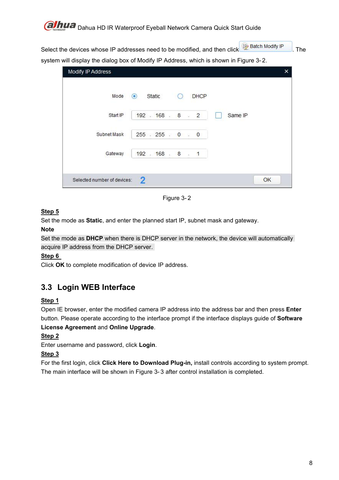

<span id="page-13-0"></span>Select the devices whose IP addresses need to be modified, and then click **D** Batch Modify IP . The system will display the dialog box of Modify IP Address, which is shown in Figure 3-2.

| Modify IP Address           |                                 | ×  |
|-----------------------------|---------------------------------|----|
| Mode                        | <b>DHCP</b><br>$\bullet$ Static |    |
| Start IP                    | $192 - 168 - 8 - 2$<br>Same IP  |    |
| Subnet Mask                 | 255 : 255 : 0 : 0               |    |
| Gateway                     | 192 . 168 . 8 . 1               |    |
| Selected number of devices: | 2                               | OK |

Figure 3- 2

### **Step 5**

Set the mode as **Static**, and enter the planned start IP, subnet mask and gateway.

#### **Note**

Set the mode as **DHCP** when there is DHCP server in the network, the device will automatically acquire IP address from the DHCP server.

### **Step 6**

Click **OK** to complete modification of device IP address.

# **3.3 Login WEB Interface**

### **Step 1**

Open IE browser, enter the modified camera IP address into the address bar and then press **Enter** button. Please operate according to the interface prompt if the interface displays guide of **Software License Agreement** and **Online Upgrade**.

### **Step 2**

Enter username and password, click **Login**.

### **Step 3**

For the first login, click **Click Here to Download Plug-in,** install controls according to system prompt. The main interface will be shown in Figure 3-3 after control installation is completed.